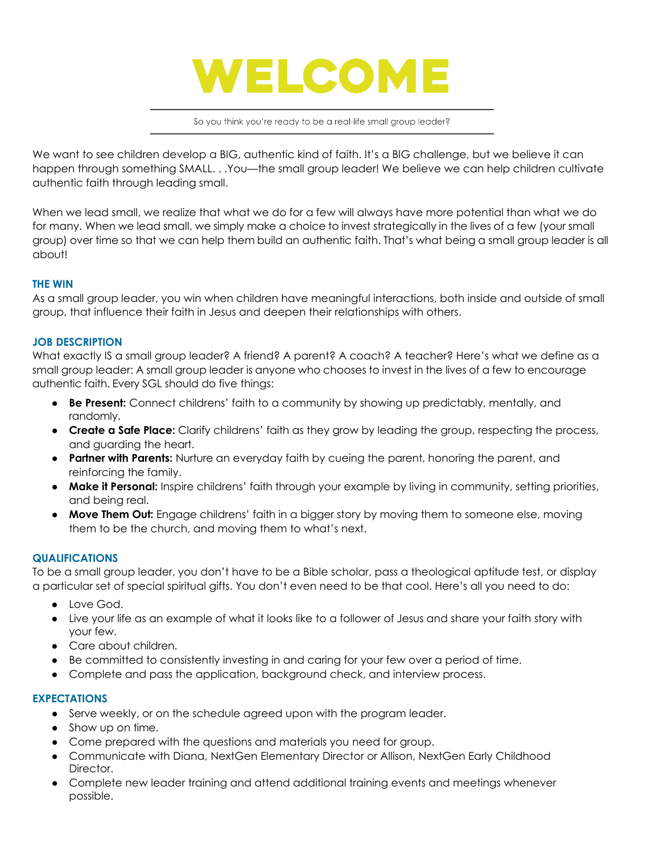

So you think you're ready to be a real-life small group leader?

We want to see children develop a BIG, authentic kind of faith. It's a BIG challenge, but we believe it can happen through something SMALL. . . You—the small group leader! We believe we can help children cultivate authentic faith through leading small.

When we lead small, we realize that what we do for a few will always have more potential than what we do for many. When we lead small, we simply make a choice to invest strategically in the lives of a few (your small group) over time so that we can help them build an authentic faith. That's what being a small group leader is all about!

## **THE WIN**

As a small group leader, you win when children have meaningful interactions, both inside and outside of small group, that influence their faith in Jesus and deepen their relationships with others.

## **JOB DESCRIPTION**

What exactly IS a small group leader? A friend? A parent? A coach? A teacher? Here's what we define as a small group leader: A small group leader is anyone who chooses to invest in the lives of a few to encourage authentic faith. Every SGL should do five things:

- **Be Present:** Connect childrens' faith to a community by showing up predictably, mentally, and randomly.
- **Create a Safe Place:** Clarify childrens' faith as they grow by leading the group, respecting the process, and guarding the heart.
- **Partner with Parents:** Nurture an everyday faith by cueing the parent, honoring the parent, and reinforcing the family.
- **Make it Personal:** Inspire childrens' faith through your example by living in community, setting priorities, and being real.
- **Move Them Out:** Engage childrens' faith in a bigger story by moving them to someone else, moving them to be the church, and moving them to what's next.

## **QUALIFICATIONS**

To be a small group leader, you don't have to be a Bible scholar, pass a theological aptitude test, or display a particular set of special spiritual gifts. You don't even need to be that cool. Here's all you need to do:

- Love God.
- Live your life as an example of what it looks like to a follower of Jesus and share your faith story with your few.
- Care about children.
- Be committed to consistently investing in and caring for your few over a period of time.
- Complete and pass the application, background check, and interview process.

## **EXPECTATIONS**

- Serve weekly, or on the schedule agreed upon with the program leader.
- Show up on time.
- Come prepared with the questions and materials you need for group.
- Communicate with Diana, NextGen Elementary Director or Allison, NextGen Early Childhood Director.
- Complete new leader training and attend additional training events and meetings whenever possible.